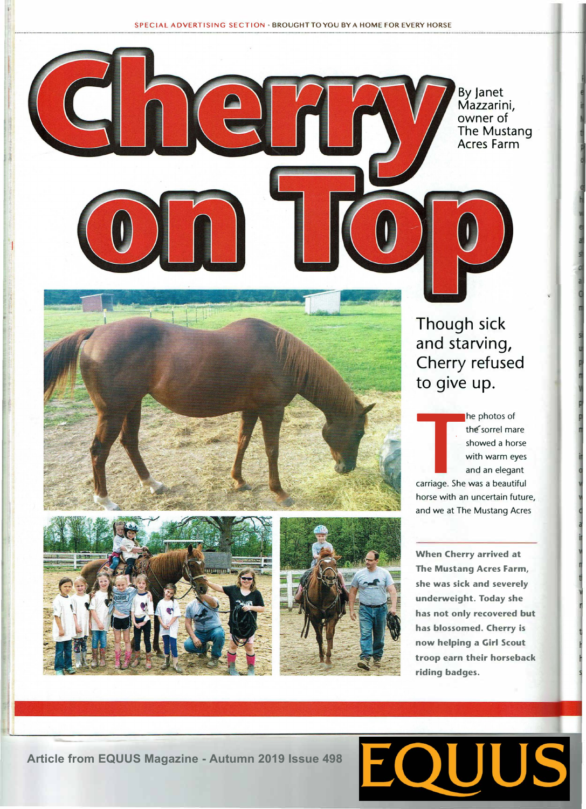By Janet Mazzarini, owner of The Mustang Acres Farm







horse with an uncertain future, and we at The Mustang Acres

**When Cherry arrived at The Mustang Acres Farm, she was sick and severely underweight. Today she has not only recovered but has blossomed. Cherry is now helping a Girl Scout troop earn their horseback riding badges.** 

**Article from EQUUS Magazine - Autumn 2019 Issue 498**